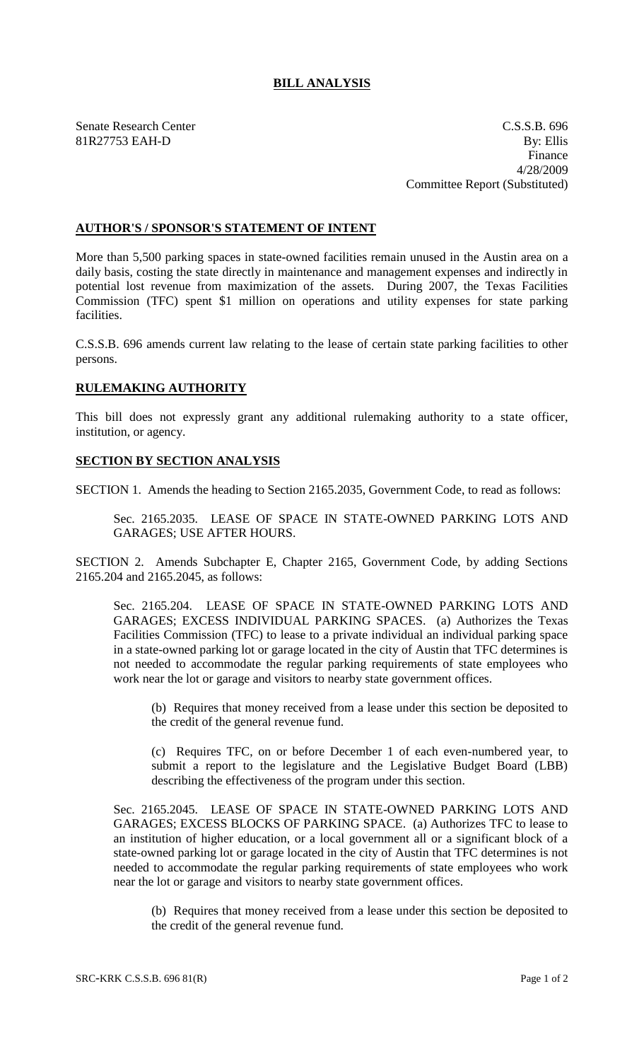## **BILL ANALYSIS**

Senate Research Center Cassets and C.S.S.B. 696 81R27753 EAH-D By: Ellis Finance 4/28/2009 Committee Report (Substituted)

## **AUTHOR'S / SPONSOR'S STATEMENT OF INTENT**

More than 5,500 parking spaces in state-owned facilities remain unused in the Austin area on a daily basis, costing the state directly in maintenance and management expenses and indirectly in potential lost revenue from maximization of the assets. During 2007, the Texas Facilities Commission (TFC) spent \$1 million on operations and utility expenses for state parking facilities.

C.S.S.B. 696 amends current law relating to the lease of certain state parking facilities to other persons.

## **RULEMAKING AUTHORITY**

This bill does not expressly grant any additional rulemaking authority to a state officer, institution, or agency.

## **SECTION BY SECTION ANALYSIS**

SECTION 1. Amends the heading to Section 2165.2035, Government Code, to read as follows:

Sec. 2165.2035. LEASE OF SPACE IN STATE-OWNED PARKING LOTS AND GARAGES; USE AFTER HOURS.

SECTION 2. Amends Subchapter E, Chapter 2165, Government Code, by adding Sections 2165.204 and 2165.2045, as follows:

Sec. 2165.204. LEASE OF SPACE IN STATE-OWNED PARKING LOTS AND GARAGES; EXCESS INDIVIDUAL PARKING SPACES. (a) Authorizes the Texas Facilities Commission (TFC) to lease to a private individual an individual parking space in a state-owned parking lot or garage located in the city of Austin that TFC determines is not needed to accommodate the regular parking requirements of state employees who work near the lot or garage and visitors to nearby state government offices.

(b) Requires that money received from a lease under this section be deposited to the credit of the general revenue fund.

(c) Requires TFC, on or before December 1 of each even-numbered year, to submit a report to the legislature and the Legislative Budget Board (LBB) describing the effectiveness of the program under this section.

Sec. 2165.2045. LEASE OF SPACE IN STATE-OWNED PARKING LOTS AND GARAGES; EXCESS BLOCKS OF PARKING SPACE. (a) Authorizes TFC to lease to an institution of higher education, or a local government all or a significant block of a state-owned parking lot or garage located in the city of Austin that TFC determines is not needed to accommodate the regular parking requirements of state employees who work near the lot or garage and visitors to nearby state government offices.

(b) Requires that money received from a lease under this section be deposited to the credit of the general revenue fund.